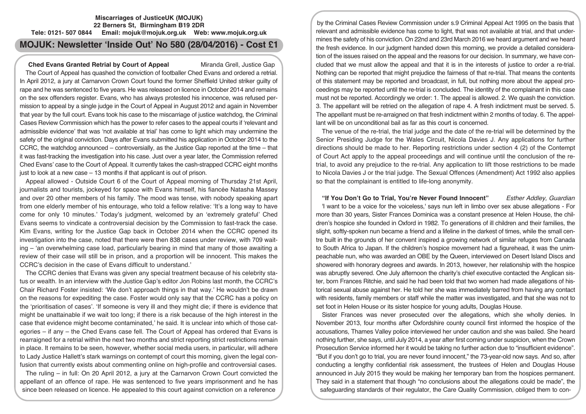## **Miscarriages of JusticeUK (MOJUK) 22 Berners St, Birmingham B19 2DR Tele: 0121- 507 0844 Email: mojuk@mojuk.org.uk Web: www.mojuk.org.uk**

# **MOJUK: Newsletter 'Inside Out' No 580 (28/04/2016) - Cost £1**

# **Ched Evans Granted Retrial by Court of Appeal** Miranda Grell, Justice Gap

The Court of Appeal has quashed the conviction of footballer Ched Evans and ordered a retrial. In April 2012, a jury at Carnarvon Crown Court found the former Sheffield United striker guilty of rape and he was sentenced to five years. He was released on licence in October 2014 and remains on the sex offenders register. Evans, who has always protested his innocence, was refused permission to appeal by a single judge in the Court of Appeal in August 2012 and again in November that year by the full court. Evans took his case to the miscarriage of justice watchdog, the Criminal Cases Review Commission which has the power to refer cases to the appeal courts if 'relevant and admissible evidence' that was 'not available at trial' has come to light which may undermine the safety of the original conviction. Days after Evans submitted his application in October 2014 to the CCRC, the watchdog announced – controversially, as the Justice Gap reported at the time – that it was fast-tracking the investigation into his case. Just over a year later, the Commission referred Ched Evans' case to the Court of Appeal. It currently takes the cash-strapped CCRC eight months just to look at a new case – 13 months if that applicant is out of prison.

Appeal allowed - Outside Court 6 of the Court of Appeal morning of Thursday 21st April, journalists and tourists, jockeyed for space with Evans himself, his fiancée Natasha Massey and over 20 other members of his family. The mood was tense, with nobody speaking apart from one elderly member of his entourage, who told a fellow relative: 'It's a long way to have come for only 10 minutes.' Today's judgment, welcomed by an 'extremely grateful' Ched Evans seems to vindicate a controversial decision by the Commission to fast-track the case. Kim Evans, writing for the Justice Gap back in October 2014 when the CCRC opened its investigation into the case, noted that there were then 838 cases under review, with 709 waiting – 'an overwhelming case load, particularly bearing in mind that many of those awaiting a review of their case will still be in prison, and a proportion will be innocent. This makes the CCRC's decision in the case of Evans difficult to understand.'

The CCRC denies that Evans was given any special treatment because of his celebrity status or wealth. In an interview with the Justice Gap's editor Jon Robins last month, the CCRC's Chair Richard Foster insisted: 'We don't approach things in that way.' He wouldn't be drawn on the reasons for expediting the case. Foster would only say that the CCRC has a policy on the 'prioritisation of cases'. 'If someone is very ill and they might die; if there is evidence that might be unattainable if we wait too long; if there is a risk because of the high interest in the case that evidence might become contaminated,' he said. It is unclear into which of those categories – if any – the Ched Evans case fell. The Court of Appeal has ordered that Evans is rearraigned for a retrial within the next two months and strict reporting strict restrictions remain in place. It remains to be seen, however, whether social media users, in particular, will adhere to Lady Justice Hallett's stark warnings on contempt of court this morning, given the legal confusion that currently exists about commenting online on high-profile and controversial cases.

The ruling – in full: On 20 April 2012, a jury at the Carnarvon Crown Court convicted the appellant of an offence of rape. He was sentenced to five years imprisonment and he has since been released on licence. He appealed to this court against conviction on a reference

by the Criminal Cases Review Commission under s.9 Criminal Appeal Act 1995 on the basis that relevant and admissible evidence has come to light, that was not available at trial, and that undermines the safety of his conviction. On 22nd and 23rd March 2016 we heard argument and we heard the fresh evidence. In our judgment handed down this morning, we provide a detailed consideration of the issues raised on the appeal and the reasons for our decision. In summary, we have concluded that we must allow the appeal and that it is in the interests of justice to order a re-trial. Nothing can be reported that might prejudice the fairness of that re-trial. That means the contents of this statement may be reported and broadcast, in full, but nothing more about the appeal proceedings may be reported until the re-trial is concluded. The identity of the complainant in this case must not be reported. Accordingly we order: 1. The appeal is allowed. 2. We quash the conviction. 3. The appellant will be retried on the allegation of rape 4. A fresh indictment must be served. 5. The appellant must be re-arraigned on that fresh indictment within 2 months of today. 6. The appellant will be on unconditional bail as far as this court is concerned.

The venue of the re-trial, the trial judge and the date of the re-trial will be determined by the Senior Presiding Judge for the Wales Circuit, Nicola Davies J. Any applications for further directions should be made to her. Reporting restrictions under section 4 (2) of the Contempt of Court Act apply to the appeal proceedings and will continue until the conclusion of the retrial, to avoid any prejudice to the re-trial. Any application to lift those restrictions to be made to Nicola Davies J or the trial judge. The Sexual Offences (Amendment) Act 1992 also applies so that the complainant is entitled to life-long anonymity.

**"If You Don't Go to Trial, You're Never Found Innocent"** *Esther Addley, Guardian* 'I want to be a voice for the voiceless,' says nun left in limbo over sex abuse allegations - For more than 30 years, Sister Frances Dominica was a constant presence at Helen House, the children's hospice she founded in Oxford in 1982. To generations of ill children and their families, the slight, softly-spoken nun became a friend and a lifeline in the darkest of times, while the small centre built in the grounds of her convent inspired a growing network of similar refuges from Canada to South Africa to Japan. If the children's hospice movement had a figurehead, it was the unimpeachable nun, who was awarded an OBE by the Queen, interviewed on Desert Island Discs and showered with honorary degrees and awards. In 2013, however, her relationship with the hospice was abruptly severed. One July afternoon the charity's chief executive contacted the Anglican sister, born Frances Ritchie, and said he had been told that two women had made allegations of historical sexual abuse against her. He told her she was immediately barred from having any contact with residents, family members or staff while the matter was investigated, and that she was not to set foot in Helen House or its sister hospice for young adults, Douglas House.

Sister Frances was never prosecuted over the allegations, which she wholly denies. In November 2013, four months after Oxfordshire county council first informed the hospice of the accusations, Thames Valley police interviewed her under caution and she was bailed. She heard nothing further, she says, until July 2014, a year after first coming under suspicion, when the Crown Prosecution Service informed her it would be taking no further action due to "insufficient evidence". "But if you don't go to trial, you are never found innocent," the 73-year-old now says. And so, after conducting a lengthy confidential risk assessment, the trustees of Helen and Douglas House announced in July 2015 they would be making her temporary ban from the hospices permanent. They said in a statement that though "no conclusions about the allegations could be made", the safeguarding standards of their regulator, the Care Quality Commission, obliged them to con-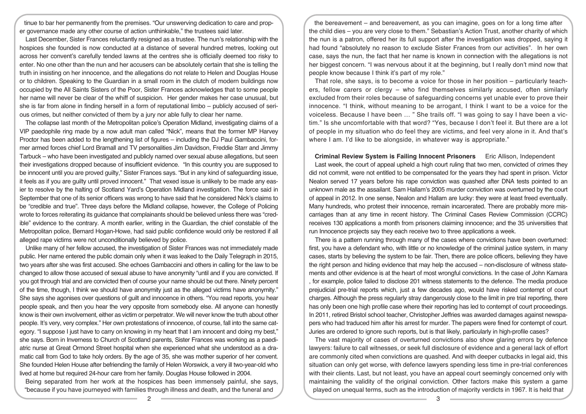tinue to bar her permanently from the premises. "Our unswerving dedication to care and proper governance made any other course of action unthinkable," the trustees said later.

Last December, Sister Frances reluctantly resigned as a trustee. The nun's relationship with the hospices she founded is now conducted at a distance of several hundred metres, looking out across her convent's carefully tended lawns at the centres she is officially deemed too risky to enter. No one other than the nun and her accusers can be absolutely certain that she is telling the truth in insisting on her innocence, and the allegations do not relate to Helen and Douglas House or to children. Speaking to the Guardian in a small room in the clutch of modern buildings now occupied by the All Saints Sisters of the Poor, Sister Frances acknowledges that to some people her name will never be clear of the whiff of suspicion. Her gender makes her case unusual, but she is far from alone in finding herself in a form of reputational limbo – publicly accused of serious crimes, but neither convicted of them by a jury nor able fully to clear her name.

The collapse last month of the Metropolitan police's Operation Midland, investigating claims of a VIP paedophile ring made by a now adult man called "Nick", means that the former MP Harvey Proctor has been added to the lengthening list of figures – including the DJ Paul Gambaccini, former armed forces chief Lord Bramall and TV personalities Jim Davidson, Freddie Starr and Jimmy Tarbuck – who have been investigated and publicly named over sexual abuse allegations, but seen their investigations dropped because of insufficient evidence. "In this country you are supposed to be innocent until you are proved guilty," Sister Frances says. "But in any kind of safeguarding issue, it feels as if you are guilty until proved innocent." That vexed issue is unlikely to be made any easier to resolve by the halting of Scotland Yard's Operation Midland investigation. The force said in September that one of its senior officers was wrong to have said that he considered Nick's claims to be "credible and true". Three days before the Midland collapse, however, the College of Policing wrote to forces reiterating its guidance that complainants should be believed unless there was "credible" evidence to the contrary. A month earlier, writing in the Guardian, the chief constable of the Metropolitan police, Bernard Hogan-Howe, had said public confidence would only be restored if all alleged rape victims were not unconditionally believed by police.

Unlike many of her fellow accused, the investigation of Sister Frances was not immediately made public. Her name entered the public domain only when it was leaked to the Daily Telegraph in 2015, two years after she was first accused. She echoes Gambaccini and others in calling for the law to be changed to allow those accused of sexual abuse to have anonymity "until and if you are convicted. If you got through trial and are convicted then of course your name should be out there. Ninety percent of the time, though, I think we should have anonymity just as the alleged victims have anonymity." She says she agonises over questions of guilt and innocence in others. "You read reports, you hear people speak, and then you hear the very opposite from somebody else. All anyone can honestly know is their own involvement, either as victim or perpetrator. We will never know the truth about other people. It's very, very complex." Her own protestations of innocence, of course, fall into the same category. "I suppose I just have to carry on knowing in my heart that I am innocent and doing my best," she says. Born in Inverness to Church of Scotland parents, Sister Frances was working as a paediatric nurse at Great Ormond Street hospital when she experienced what she understood as a dramatic call from God to take holy orders. By the age of 35, she was mother superior of her convent. She founded Helen House after befriending the family of Helen Worswick, a very ill two-year-old who lived at home but required 24-hour care from her family. Douglas House followed in 2004.

Being separated from her work at the hospices has been immensely painful, she says, "because if you have journeyed with families through illness and death, and the funeral and

the bereavement – and bereavement, as you can imagine, goes on for a long time after the child dies – you are very close to them." Sebastian's Action Trust, another charity of which the nun is a patron, offered her its full support after the investigation was dropped, saying it had found "absolutely no reason to exclude Sister Frances from our activities". In her own case, says the nun, the fact that her name is known in connection with the allegations is not her biggest concern. "I was nervous about it at the beginning, but I really don't mind now that people know because I think it's part of my role."

That role, she says, is to become a voice for those in her position – particularly teachers, fellow carers or clergy – who find themselves similarly accused, often similarly excluded from their roles because of safeguarding concerns yet unable ever to prove their innocence. "I think, without meaning to be arrogant, I think I want to be a voice for the voiceless. Because I have been … " She trails off. "I was going to say I have been a victim." Is she uncomfortable with that word? "Yes, because I don't feel it. But there are a lot of people in my situation who do feel they are victims, and feel very alone in it. And that's where I am. I'd like to be alongside, in whatever way is appropriate."

**Criminal Review System is Failing Innocent Prisoners** Eric Allison, Independent

Last week, the court of appeal upheld a high court ruling that two men, convicted of crimes they did not commit, were not entitled to be compensated for the years they had spent in prison. Victor Nealon served 17 years before his rape conviction was quashed after DNA tests pointed to an unknown male as the assailant. Sam Hallam's 2005 murder conviction was overturned by the court of appeal in 2012. In one sense, Nealon and Hallam are lucky: they were at least freed eventually. Many hundreds, who protest their innocence, remain incarcerated. There are probably more miscarriages than at any time in recent history. The Criminal Cases Review Commission (CCRC) receives 130 applications a month from prisoners claiming innocence; and the 35 universities that run Innocence projects say they each receive two to three applications a week.

There is a pattern running through many of the cases where convictions have been overturned: first, you have a defendant who, with little or no knowledge of the criminal justice system, in many cases, starts by believing the system to be fair. Then, there are police officers, believing they have the right person and hiding evidence that may help the accused – non-disclosure of witness statements and other evidence is at the heart of most wrongful convictions. In the case of John Kamara , for example, police failed to disclose 201 witness statements to the defence. The media produce prejudicial pre-trial reports which, just a few decades ago, would have risked contempt of court charges. Although the press regularly stray dangerously close to the limit in pre trial reporting, there has only been one high profile case where their reporting has led to contempt of court proceedings. In 2011, retired Bristol school teacher, Christopher Jeffries was awarded damages against newspapers who had traduced him after his arrest for murder. The papers were fined for contempt of court. Juries are ordered to ignore such reports, but is that likely, particularly in high-profile cases?

The vast majority of cases of overturned convictions also show glaring errors by defence lawyers: failure to call witnesses, or seek full disclosure of evidence and a general lack of effort are commonly cited when convictions are quashed. And with deeper cutbacks in legal aid, this situation can only get worse, with defence lawyers spending less time in pre-trial conferences with their clients. Last, but not least, you have an appeal court seemingly concerned only with maintaining the validity of the original conviction. Other factors make this system a game played on unequal terms, such as the introduction of majority verdicts in 1967. It is held that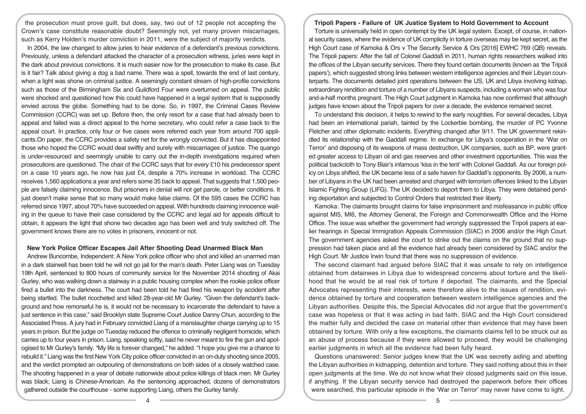the prosecution must prove guilt, but does, say, two out of 12 people not accepting the Crown's case constitute reasonable doubt? Seemingly not, yet many proven miscarriages, such as Kerry Holden's murder conviction in 2011, were the subject of majority verdicts.

In 2004, the law changed to allow juries to hear evidence of a defendant's previous convictions. Previously, unless a defendant attacked the character of a prosecution witness, juries were kept in the dark about previous convictions. It is much easier now for the prosecution to make its case. But is it fair? Talk about giving a dog a bad name. There was a spell, towards the end of last century, when a light was shone on criminal justice. A seemingly constant stream of high-profile convictions such as those of the Birmingham Six and Guildford Four were overturned on appeal. The public were shocked and questioned how this could have happened in a legal system that is supposedly envied across the globe. Something had to be done. So, in 1997, the Criminal Cases Review Commission (CCRC) was set up. Before then, the only resort for a case that had already been to appeal and failed was a direct appeal to the home secretary, who could refer a case back to the appeal court. In practice, only four or five cases were referred each year from around 700 applicants.On paper, the CCRC provides a safety net for the wrongly convicted. But it has disappointed those who hoped the CCRC would deal swiftly and surely with miscarriages of justice. The quango is under-resourced and seemingly unable to carry out the in-depth investigations required when prosecutions are questioned. The chair of the CCRC says that for every £10 his predecessor spent on a case 10 years ago, he now has just £4, despite a 70% increase in workload. The CCRC receives 1,560 applications a year and refers some 35 back to appeal. That suggests that 1,500 people are falsely claiming innocence. But prisoners in denial will not get parole, or better conditions. It just doesn't make sense that so many would make false claims. Of the 595 cases the CCRC has referred since 1997, about 70% have succeeded on appeal. With hundreds claiming innocence waiting in the queue to have their case considered by the CCRC and legal aid for appeals difficult to obtain, it appears the light that shone two decades ago has been well and truly switched off. The government knows there are no votes in prisoners, innocent or not.

## **New York Police Officer Escapes Jail After Shooting Dead Unarmed Black Man**

Andrew Buncombe, Independent: A New York police officer who shot and killed an unarmed man in a dark stairwell has been told he will not go jail for the man's death. Peter Liang was on Tuesday 19th April, sentenced to 800 hours of community service for the November 2014 shooting of Akai Gurley, who was walking down a stairway in a public housing complex when the rookie police officer fired a bullet into the darkness. The court had been told he had fired his weapon by accident after being startled. The bullet ricocheted and killed 28-year-old Mr Gurley. "Given the defendant's background and how remorseful he is, it would not be necessary to incarcerate the defendant to have a just sentence in this case," said Brooklyn state Supreme Court Justice Danny Chun, according to the Associated Press. A jury had in February convicted Liang of a manslaughter charge carrying up to 15 years in prison. But the judge on Tuesday reduced the offence to criminally negligent homicide, which carries up to four years in prison. Liang, speaking softly, said he never meant to fire the gun and apologised to Mr Gurley's family. "My life is forever changed," he added. "I hope you give me a chance to rebuild it." Liang was the first New York City police officer convicted in an on-duty shooting since 2005, and the verdict prompted an outpouring of demonstrations on both sides of a closely watched case. The shooting happened in a year of debate nationwide about police killings of black men. Mr Gurley was black; Liang is Chinese-American. As the sentencing approached, dozens of demonstrators gathered outside the courthouse - some supporting Liang, others the Gurley family.

# **Tripoli Papers - Failure of UK Justice System to Hold Government to Account**

Torture is universally held in open contempt by the UK legal system. Except, of course, in national security cases, where the evidence of UK complicity in torture overseas may be kept secret, as the High Court case of Kamoka & Ors v The Security Service & Ors [2016] EWHC 769 (QB) reveals. The Tripoli papers: After the fall of Colonel Gaddafi in 2011, human rights researchers walked into the offices of the Libyan security services. There they found certain documents (known as 'the Tripoli papers'), which suggested strong links between western intelligence agencies and their Libyan counterparts. The documents detailed joint operations between the US, UK and Libya involving kidnap, extraordinary rendition and torture of a number of Libyans suspects, including a woman who was four and-a-half months pregnant. The High Court judgment in Kamoka has now confirmed that although judges have known about the Tripoli papers for over a decade, the evidence remained secret.

To understand this decision, it helps to rewind to the early noughties. For several decades, Libya had been an international pariah, tainted by the Lockerbie bombing, the murder of PC Yvonne Fletcher and other diplomatic incidents. Everything changed after 9/11. The UK government rekindled its relationship with the Gaddafi regime. In exchange for Libya's cooperation in the 'War on Terror' and disposing of its weapons of mass destruction, UK companies, such as BP, were granted greater access to Libyan oil and gas reserves and other investment opportunities. This was the political backcloth to Tony Blair's infamous 'kiss in the tent' with Colonel Gaddafi. As our foreign policy on Libya shifted, the UK became less of a safe haven for Gaddafi's opponents. By 2006, a number of Libyans in the UK had been arrested and charged with terrorism offences linked to the Libyan Islamic Fighting Group (LIFG). The UK decided to deport them to Libya. They were detained pending deportation and subjected to Control Orders that restricted their liberty.

Kamoka: The claimants brought claims for false imprisonment and misfeasance in public office against MI5, MI6, the Attorney General, the Foreign and Commonwealth Office and the Home Office. The issue was whether the government had wrongly suppressed the Tripoli papers at earlier hearings in Special Immigration Appeals Commission (SIAC) in 2006 and/or the High Court. The government agencies asked the court to strike out the claims on the ground that no suppression had taken place and all the evidence had already been considered by SIAC and/or the High Court. Mr Justice Irwin found that there was no suppression of evidence.

The second claimant had argued before SIAC that it was unsafe to rely on intelligence obtained from detainees in Libya due to widespread concerns about torture and the likelihood that he would be at real risk of torture if deported. The claimants, and the Special Advocates representing their interests, were therefore alive to the issues of rendition, evidence obtained by torture and cooperation between western intelligence agencies and the Libyan authorities. Despite this, the Special Advocates did not argue that the government's case was hopeless or that it was acting in bad faith. SIAC and the High Court considered the matter fully and decided the case on material other than evidence that may have been obtained by torture. With only a few exceptions, the claimants claims fell to be struck out as an abuse of process because if they were allowed to proceed, they would be challenging earlier judgments in which all the evidence had been fully heard.

Questions unanswered: Senior judges knew that the UK was secretly aiding and abetting the Libyan authorities in kidnapping, detention and torture. They said nothing about this in their open judgments at the time. We do not know what their closed judgments said on this issue, if anything. If the Libyan security service had destroyed the paperwork before their offices were searched, this particular episode in the 'War on Terror' may never have come to light.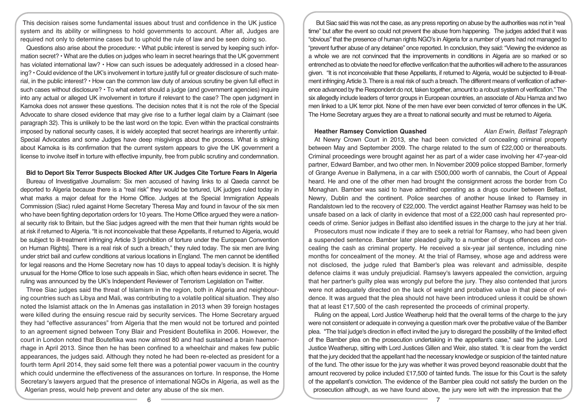This decision raises some fundamental issues about trust and confidence in the UK justice system and its ability or willingness to hold governments to account. After all, Judges are required not only to determine cases but to uphold the rule of law and be seen doing so.

Questions also arise about the procedure: • What public interest is served by keeping such information secret? • What are the duties on judges who learn in secret hearings that the UK government has violated international law? • How can such issues be adequately addressed in a closed hearing? • Could evidence of the UK's involvement in torture justify full or greater disclosure of such material, in the public interest? • How can the common law duty of anxious scrutiny be given full effect in such cases without disclosure? • To what extent should a judge (and government agencies) inquire into any actual or alleged UK involvement in torture if relevant to the case? The open judgment in Kamoka does not answer these questions. The decision notes that it is not the role of the Special Advocate to share closed evidence that may give rise to a further legal claim by a Claimant (see paragraph 32). This is unlikely to be the last word on the topic. Even within the practical constraints imposed by national security cases, it is widely accepted that secret hearings are inherently unfair. Special Advocates and some Judges have deep misgivings about the process. What is striking about Kamoka is its confirmation that the current system appears to give the UK government a license to involve itself in torture with effective impunity, free from public scrutiny and condemnation.

## **Bid to Deport Six Terror Suspects Blocked After UK Judges Cite Torture Fears In Algeria**

Bureau of Investigative Journalism: Six men accused of having links to al Qaeda cannot be deported to Algeria because there is a "real risk" they would be tortured, UK judges ruled today in what marks a major defeat for the Home Office. Judges at the Special Immigration Appeals Commission (Siac) ruled against Home Secretary Theresa May and found in favour of the six men who have been fighting deportation orders for 10 years. The Home Office argued they were a national security risk to Britain, but the Siac judges agreed with the men that their human rights would be at risk if returned to Algeria. "It is not inconceivable that these Appellants, if returned to Algeria, would be subject to ill-treatment infringing Article 3 [prohibition of torture under the European Convention on Human Rights]. There is a real risk of such a breach," they ruled today. The six men are living under strict bail and curfew conditions at various locations in England. The men cannot be identified for legal reasons and the Home Secretary now has 10 days to appeal today's decision. It is highly unusual for the Home Office to lose such appeals in Siac, which often hears evidence in secret. The ruling was announced by the UK's Independent Reviewer of Terrorism Legislation on Twitter.

Three Siac judges said the threat of Islamism in the region, both in Algeria and neighbouring countries such as Libya and Mali, was contributing to a volatile political situation. They also noted the Islamist attack on the In Amenas gas installation in 2013 when 39 foreign hostages were killed during the ensuing rescue raid by security services. The Home Secretary argued they had "effective assurances" from Algeria that the men would not be tortured and pointed to an agreement signed between Tony Blair and President Bouteflika in 2006. However, the court in London noted that Bouteflika was now almost 80 and had sustained a brain haemorrhage in April 2013. Since then he has been confined to a wheelchair and makes few public appearances, the judges said. Although they noted he had been re-elected as president for a fourth term April 2014, they said some felt there was a potential power vacuum in the country which could undermine the effectiveness of the assurances on torture. In response, the Home Secretary's lawyers argued that the presence of international NGOs in Algeria, as well as the Algerian press, would help prevent and deter any abuse of the six men.

ButSiac said this was not the case, as any press reporting on abuse by the authorities was not in "real time" but after the event so could not prevent the abuse from happening. The judges added that it was "obvious" that the presence of human rights NGO's in Algeria for a number of years had not managed to "prevent further abuse of any detainee" once reported. In conclusion, they said: "Viewing the evidence as a whole we are not convinced that the improvements in conditions in Algeria are so marked or so entrenched as to obviate the need for effective verification that the authoritieswill adhere to the assurances given. "It is not inconceivable that these Appellants, if returned to Algeria, would be subjected to ill-treatment infringing Article 3. There is a real risk of such a breach. The different means of verification of adherence advanced by the Respondent do not, taken together, amount to a robust system of verification." The six allegedly include leaders of terror groups in European countries, an associate of Abu Hamza and two men linked to a UK terror plot. None of the men have ever been convicted of terror offences in the UK. The Home Secretary argues they are a threat to national security and must be returned to Algeria.

# **Heather Ramsey Conviction Quashed** *Alan Erwin, Belfast Telegraph*

At Newry Crown Court in 2013, she had been convicted of concealing criminal property between May and September 2009. The charge related to the sum of £22,000 or thereabouts. Criminal proceedings were brought against her as part of a wider case involving her 47-year-old partner, Edward Bamber, and two other men. In November 2009 police stopped Bamber, formerly of Grange Avenue in Ballymena, in a car with £500,000 worth of cannabis, the Court of Appeal heard. He and one of the other men had brought the consignment across the border from Co Monaghan. Bamber was said to have admitted operating as a drugs courier between Belfast, Newry, Dublin and the continent. Police searches of another house linked to Ramsey in Randalstown led to the recovery of £22,000. The verdict against Heather Ramsey was held to be unsafe based on a lack of clarity in evidence that most of a £22,000 cash haul represented proceeds of crime. Senior judges in Belfast also identified issues in the charge to the jury at her trial.

Prosecutors must now indicate if they are to seek a retrial for Ramsey, who had been given a suspended sentence. Bamber later pleaded guilty to a number of drugs offences and concealing the cash as criminal property. He received a six-year jail sentence, including nine months for concealment of the money. At the trial of Ramsey, whose age and address were not disclosed, the judge ruled that Bamber's plea was relevant and admissible, despite defence claims it was unduly prejudicial. Ramsey's lawyers appealed the conviction, arguing that her partner's guilty plea was wrongly put before the jury. They also contended that jurors were not adequately directed on the lack of weight and probative value in that piece of evidence. It was argued that the plea should not have been introduced unless it could be shown that at least £17,500 of the cash represented the proceeds of criminal property.

Ruling on the appeal, Lord Justice Weatherup held that the overall terms of the charge to the jury were not consistent or adequate in conveying a question mark over the probative value of the Bamber plea. "The trial judge's direction in effect invited the jury to disregard the possibility of the limited effect of the Bamber plea on the prosecution undertaking in the appellant's case," said the judge. Lord Justice Weatherup, sitting with Lord Justices Gillen and Weir, also stated. 'It is clear from the verdict that the jury decided that the appellant had the necessary knowledge or suspicion of the tainted nature of the fund. The other issue for the jury was whether it was proved beyond reasonable doubt that the amount recovered by police included £17,500 of tainted funds. The issue for this Court is the safety of the appellant's conviction. The evidence of the Bamber plea could not satisfy the burden on the prosecution although, as we have found above, the jury were left with the impression that the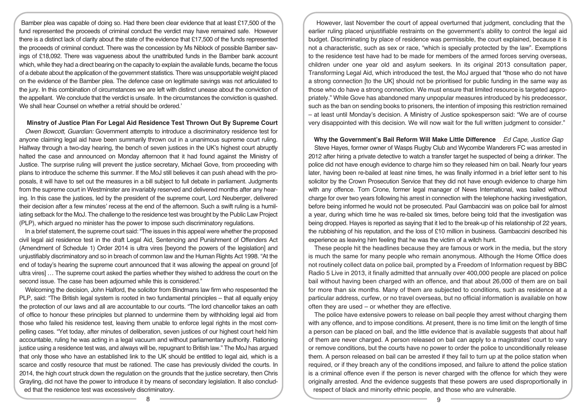Bamber plea was capable of doing so. Had there been clear evidence that at least £17,500 of the fund represented the proceeds of criminal conduct the verdict may have remained safe. However there is a distinct lack of clarity about the state of the evidence that £17,500 of the funds represented the proceeds of criminal conduct. There was the concession by Ms Niblock of possible Bamber savings of £18,092. There was vagueness about the unattributed funds in the Bamber bank account which, while they had a direct bearing on the capacity to explain the available funds, became the focus of a debate about the application of the government statistics. There was unsupportable weight placed on the evidence of the Bamber plea. The defence case on legitimate savings was not articulated to the jury. In this combination of circumstances we are left with distinct unease about the conviction of the appellant. We conclude that the verdict is unsafe. In the circumstances the conviction is quashed. We shall hear Counsel on whether a retrial should be ordered.'

# **Minstry of Justice Plan For Legal Aid Residence Test Thrown Out By Supreme Court**

*Owen Bowcott, Guardian:* Government attempts to introduce a discriminatory residence test for anyone claiming legal aid have been summarily thrown out in a unanimous supreme court ruling. Halfway through a two-day hearing, the bench of seven justices in the UK's highest court abruptly halted the case and announced on Monday afternoon that it had found against the Ministry of Justice. The surprise ruling will prevent the justice secretary, Michael Gove, from proceeding with plans to introduce the scheme this summer. If the MoJ still believes it can push ahead with the proposals, it will have to set out the measures in a bill subject to full debate in parliament. Judgments from the supreme court in Westminster are invariably reserved and delivered months after any hearing. In this case the justices, led by the president of the supreme court, Lord Neuberger, delivered their decision after a few minutes' recess at the end of the afternoon. Such a swift ruling is a humiliating setback for the MoJ. The challenge to the residence test was brought by the Public Law Project (PLP), which argued no minister has the power to impose such discriminatory regulations.

In a brief statement, the supreme court said: "The issues in this appeal were whether the proposed civil legal aid residence test in the draft Legal Aid, Sentencing and Punishment of Offenders Act (Amendment of Schedule 1) Order 2014 is ultra vires [beyond the powers of the legislation] and unjustifiably discriminatory and so in breach of common law and the Human Rights Act 1998. "At the end of today's hearing the supreme court announced that it was allowing the appeal on ground [of ultra vires] … The supreme court asked the parties whether they wished to address the court on the second issue. The case has been adjourned while this is considered."

Welcoming the decision, John Halford, the solicitor from Bindmans law firm who respesented the PLP, said: "The British legal system is rooted in two fundamental principles – that all equally enjoy the protection of our laws and all are accountable to our courts. "The lord chancellor takes an oath of office to honour these principles but planned to undermine them by withholding legal aid from those who failed his residence test, leaving them unable to enforce legal rights in the most compelling cases. "Yet today, after minutes of deliberation, seven justices of our highest court held him accountable, ruling he was acting in a legal vacuum and without parliamentary authority. Rationing justice using a residence test was, and always will be, repugnant to British law." The MoJ has argued that only those who have an established link to the UK should be entitled to legal aid, which is a scarce and costly resource that must be rationed. The case has previously divided the courts. In 2014, the high court struck down the regulation on the grounds that the justice secretary, then Chris Grayling, did not have the power to introduce it by means of secondary legislation. It also concluded that the residence test was excessively discriminatory.

However, last November the court of appeal overturned that judgment, concluding that the earlier ruling placed unjustifiable restraints on the government's ability to control the legal aid budget. Discriminating by place of residence was permissible, the court explained, because it is not a characteristic, such as sex or race, "which is specially protected by the law". Exemptions to the residence test have had to be made for members of the armed forces serving overseas, children under one year old and asylum seekers. In its original 2013 consultation paper, Transforming Legal Aid, which introduced the test, the MoJ argued that "those who do not have a strong connection [to the UK] should not be prioritised for public funding in the same way as those who do have a strong connection. We must ensure that limited resource is targeted appropriately." While Gove has abandoned many unpopular measures introduced by his predecessor, such as the ban on sending books to prisoners, the intention of imposing this restriction remained – at least until Monday's decision. A Ministry of Justice spokesperson said: "We are of course very disappointed with this decision. We will now wait for the full written judgment to consider."

**Why the Government's Bail Reform Will Make Little Difference** *Ed Cape, Justice Gap* Steve Hayes, former owner of Wasps Rugby Club and Wycombe Wanderers FC was arrested in 2012 after hiring a private detective to watch a transfer target he suspected of being a drinker. The police did not have enough evidence to charge him so they released him on bail. Nearly four years later, having been re-bailed at least nine times, he was finally informed in a brief letter sent to his solicitor by the Crown Prosecution Service that they did not have enough evidence to charge him with any offence. Tom Crone, former legal manager of News International, was bailed without charge for over two years following his arrest in connection with the telephone hacking investigation, before being informed he would not be prosecuted. Paul Gambaccini was on police bail for almost a year, during which time he was re-bailed six times, before being told that the investigation was being dropped. Hayes is reported as saying that it led to the break-up of his relationship of 22 years, the rubbishing of his reputation, and the loss of £10 million in business. Gambaccini described his experience as leaving him feeling that he was the victim of a witch hunt.

These people hit the headlines because they are famous or work in the media, but the story is much the same for many people who remain anonymous. Although the Home Office does not routinely collect data on police bail, prompted by a Freedom of Information request by BBC Radio 5 Live in 2013, it finally admitted that annually over 400,000 people are placed on police bail without having been charged with an offence, and that about 26,000 of them are on bail for more than six months. Many of them are subjected to conditions, such as residence at a particular address, curfew, or no travel overseas, but no official information is available on how often they are used – or whether they are effective.

The police have extensive powers to release on bail people they arrest without charging them with any offence, and to impose conditions. At present, there is no time limit on the length of time a person can be placed on bail, and the little evidence that is available suggests that about half of them are never charged. A person released on bail can apply to a magistrates' court to vary or remove conditions, but the courts have no power to order the police to unconditionally release them. A person released on bail can be arrested if they fail to turn up at the police station when required, or if they breach any of the conditions imposed, and failure to attend the police station is a criminal offence even if the person is never charged with the offence for which they were originally arrested. And the evidence suggests that these powers are used disproportionally in respect of black and minority ethnic people, and those who are vulnerable.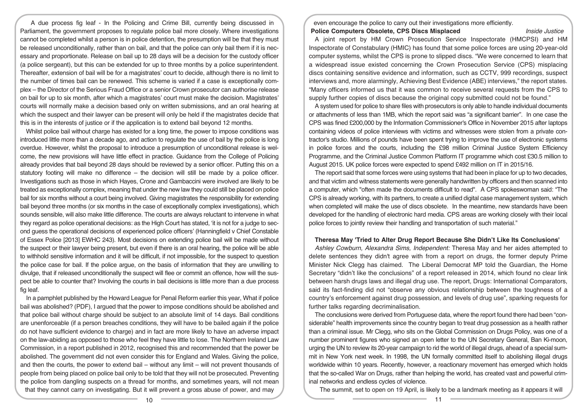A due process fig leaf - In the Policing and Crime Bill, currently being discussed in Parliament, the government proposes to regulate police bail more closely. Where investigations cannot be completed whilst a person is in police detention, the presumption will be that they must be released unconditionally, rather than on bail, and that the police can only bail them if it is necessary and proportionate. Release on bail up to 28 days will be a decision for the custody officer (a police sergeant), but this can be extended for up to three months by a police superintendent. Thereafter, extension of bail will be for a magistrates' court to decide, although there is no limit to the number of times bail can be renewed. This scheme is varied if a case is exceptionally complex – the Director of the Serious Fraud Office or a senior Crown prosecutor can authorise release on bail for up to six month, after which a magistrates' court must make the decision. Magistrates' courts will normally make a decision based only on written submissions, and an oral hearing at which the suspect and their lawyer can be present will only be held if the magistrates decide that this is in the interests of justice or if the application is to extend bail beyond 12 months.

Whilst police bail without charge has existed for a long time, the power to impose conditions was introduced little more than a decade ago, and action to regulate the use of bail by the police is long overdue. However, whilst the proposal to introduce a presumption of unconditional release is welcome, the new provisions will have little effect in practice. Guidance from the College of Policing already provides that bail beyond 28 days should be reviewed by a senior officer. Putting this on a statutory footing will make no difference – the decision will still be made by a police officer. Investigations such as those in which Hayes, Crone and Gambaccini were involved are likely to be treated as exceptionally complex, meaning that under the new law they could still be placed on police bail for six months without a court being involved. Giving magistrates the responsibility for extending bail beyond three months (or six months in the case of exceptionally complex investigations), which sounds sensible, will also make little difference. The courts are always reluctant to intervene in what they regard as police operational decisions: as the High Court has stated, 'it is not for a judge to second guess the operational decisions of experienced police officers' (Hanningfield v Chief Constable of Essex Police [2013] EWHC 243). Most decisions on extending police bail will be made without the suspect or their lawyer being present, but even if there is an oral hearing, the police will be able to withhold sensitive information and it will be difficult, if not impossible, for the suspect to question the police case for bail. If the police argue, on the basis of information that they are unwilling to divulge, that if released unconditionally the suspect will flee or commit an offence, how will the suspect be able to counter that? Involving the courts in bail decisions is little more than a due process fig leaf.

In a pamphlet published by the Howard League for Penal Reform earlier this year, What if police bail was abolished? (PDF), I argued that the power to impose conditions should be abolished and that police bail without charge should be subject to an absolute limit of 14 days. Bail conditions are unenforceable (if a person breaches conditions, they will have to be bailed again if the police do not have sufficient evidence to charge) and in fact are more likely to have an adverse impact on the law-abiding as opposed to those who feel they have little to lose. The Northern Ireland Law Commission, in a report published in 2012, recognised this and recommended that the power be abolished. The government did not even consider this for England and Wales. Giving the police, and then the courts, the power to extend bail – without any limit – will not prevent thousands of people from being placed on police bail only to be told that they will not be prosecuted. Preventing the police from dangling suspects on a thread for months, and sometimes years, will not mean that they cannot carry on investigating. But it will prevent a gross abuse of power, and may

even encourage the police to carry out their investigations more efficiently.

## **Police Computers Obsolete, CPS Discs Misplaced** *Inside Justice*

A joint report by HM Crown Prosecution Service Inspectorate (HMCPSI) and HM Inspectorate of Constabulary (HMIC) has found that some police forces are using 20-year-old computer systems, whilst the CPS is prone to slipped discs. "We were concerned to learn that a widespread issue existed concerning the Crown Prosecution Service (CPS) misplacing discs containing sensitive evidence and information, such as CCTV, 999 recordings, suspect interviews and, more alarmingly, Achieving Best Evidence (ABE) interviews," the report states. "Many officers informed us that it was common to receive several requests from the CPS to supply further copies of discs because the original copy submitted could not be found."

A system used for police to share files with prosecutors is only able to handle individual documents or attachments of less than 1MB, which the report said was "a significant barrier". In one case the CPS was fined £200,000 by the Information Commissioner's Office in November 2015 after laptops containing videos of police interviews with victims and witnesses were stolen from a private contractor's studio. Millions of pounds have been spent trying to improve the use of electronic systems in police forces and the courts, including the £98 million Criminal Justice System Efficiency Programme, and the Criminal Justice Common Platform IT programme which cost £30.5 million to August 2015. UK police forces were expected to spend £492 million on IT in 2015/16.

The report said that some forces were using systems that had been in place for up to two decades, and that victim and witness statements were generally handwritten by officers and then scanned into a computer, which "often made the documents difficult to read". A CPS spokeswoman said: "The CPS is already working, with its partners, to create a unified digital case management system, which when completed will make the use of discs obsolete. In the meantime, new standards have been developed for the handling of electronic hard media. CPS areas are working closely with their local police forces to jointly review their handling and transportation of such material."

# **Theresa May 'Tried to Alter Drug Report Because She Didn't Like Its Conclusions'**

*Ashley Cowburn, Alexandra Sims, Independent:* Theresa May and her aides attempted to delete sentences they didn't agree with from a report on drugs, the former deputy Prime Minister Nick Clegg has claimed. The Liberal Democrat MP told the Guardian, the Home Secretary "didn't like the conclusions" of a report released in 2014, which found no clear link between harsh drugs laws and illegal drug use. The report, Drugs: International Comparators, said its fact-finding did not "observe any obvious relationship between the toughness of a country's enforcement against drug possession, and levels of drug use", sparking requests for further talks regarding decriminalisation.

The conclusions were derived from Portuguese data, where the report found there had been "considerable" health improvements since the country began to treat drug possession as a health rather than a criminal issue. Mr Clegg, who sits on the Global Commission on Drugs Policy, was one of a number prominent figures who signed an open letter to the UN Secretary General, Ban Ki-moon, urging the UN to review its 20-year campaign to rid the world of illegal drugs, ahead of a special summit in New York next week. In 1998, the UN formally committed itself to abolishing illegal drugs worldwide within 10 years. Recently, however, a reactionary movement has emerged which holds that the so-called War on Drugs, rather than helping the world, has created vast and powerful criminal networks and endless cycles of violence.

The summit, set to open on 19 April, is likely to be a landmark meeting as it appears it will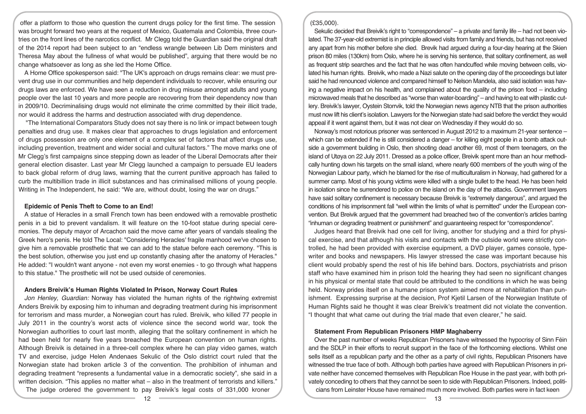offer a platform to those who question the current drugs policy for the first time. The session was brought forward two years at the request of Mexico, Guatemala and Colombia, three countries on the front lines of the narcotics conflict. Mr Clegg told the Guardian said the original draft of the 2014 report had been subject to an "endless wrangle between Lib Dem ministers and Theresa May about the fullness of what would be published", arguing that there would be no change whatsoever as long as she led the Home Office.

A Home Office spokesperson said: "The UK's approach on drugs remains clear: we must prevent drug use in our communities and help dependent individuals to recover, while ensuring our drugs laws are enforced. We have seen a reduction in drug misuse amongst adults and young people over the last 10 years and more people are recovering from their dependency now than in 2009/10. Decriminalising drugs would not eliminate the crime committed by their illicit trade, nor would it address the harms and destruction associated with drug dependence.

"The International Comparators Study does not say there is no link or impact between tough penalties and drug use. It makes clear that approaches to drugs legislation and enforcement of drugs possession are only one element of a complex set of factors that affect drugs use, including prevention, treatment and wider social and cultural factors." The move marks one of Mr Clegg's first campaigns since stepping down as leader of the Liberal Democrats after their general election disaster. Last year Mr Clegg launched a campaign to persuade EU leaders to back global reform of drug laws, warning that the current punitive approach has failed to curb the multibillion trade in illicit substances and has criminalised millions of young people. Writing in The Independent, he said: "We are, without doubt, losing the war on drugs."

#### **Epidemic of Penis Theft to Come to an End!**

A statue of Heracles in a small French town has been endowed with a removable prosthetic penis in a bid to prevent vandalism. It will feature on the 10-foot statue during special ceremonies. The deputy mayor of Arcachon said the move came after years of vandals stealing the Greek hero's penis. He told The Local: "Considering Heracles' fragile manhood we've chosen to give him a removable prosthetic that we can add to the statue before each ceremony. "This is the best solution, otherwise you just end up constantly chasing after the anatomy of Heracles." He added: "I wouldn't want anyone - not even my worst enemies - to go through what happens to this statue." The prosthetic will not be used outside of ceremonies.

# **Anders Breivik's Human Rights Violated In Prison, Norway Court Rules**

*Jon Henley, Guardian:* Norway has violated the human rights of the rightwing extremist Anders Breivik by exposing him to inhuman and degrading treatment during his imprisonment for terrorism and mass murder, a Norwegian court has ruled. Breivik, who killed 77 people in July 2011 in the country's worst acts of violence since the second world war, took the Norwegian authorities to court last month, alleging that the solitary confinement in which he had been held for nearly five years breached the European convention on human rights. Although Breivik is detained in a three-cell complex where he can play video games, watch TV and exercise, judge Helen Andenaes Sekulic of the Oslo district court ruled that the Norwegian state had broken article 3 of the convention. The prohibition of inhuman and degrading treatment "represents a fundamental value in a democratic society", she said in a written decision. "This applies no matter what – also in the treatment of terrorists and killers."

The judge ordered the government to pay Breivik's legal costs of 331,000 kroner

## (£35,000).

Sekulic decided that Breivik's right to "correspondence" – a private and family life – had not been violated. The 37-year-old extremist is in principle allowed visits from family and friends, but has not received any apart from his mother before she died. Brevik had argued during a four-day hearing at the Skien prison 80 miles (130km) from Oslo, where he is serving his sentence, that solitary confinement, as well as frequent strip searches and the fact that he was often handcuffed while moving between cells, violated his human rights. Breivik, who made a Nazi salute on the opening day of the proceedings but later said he had renounced violence and compared himself to Nelson Mandela, also said isolation was having a negative impact on his health, and complained about the quality of the prison food – including microwaved meals that he described as "worse than water-boarding" – and having to eat with plastic cutlery. Breivik's lawyer, Oystein Storrvik, told the Norwegian news agency NTB that the prison authorities must now lift his client's isolation. Lawyers for the Norwegian state had said before the verdict they would appeal if it went against them, but it was not clear on Wednesday if they would do so.

Norway's most notorious prisoner was sentenced in August 2012 to a maximum 21-year sentence – which can be extended if he is still considered a danger – for killing eight people in a bomb attack outside a government building in Oslo, then shooting dead another 69, most of them teenagers, on the island of Utøya on 22 July 2011. Dressed as a police officer, Breivik spent more than an hour methodically hunting down his targets on the small island, where nearly 600 members of the youth wing of the Norwegian Labour party, which he blamed for the rise of multiculturalism in Norway, had gathered for a summer camp. Most of his young victims were killed with a single bullet to the head. He has been held in isolation since he surrendered to police on the island on the day of the attacks. Government lawyers have said solitary confinement is necessary because Breivik is "extremely dangerous", and argued the conditions of his imprisonment fall "well within the limits of what is permitted" under the European convention. But Breivik argued that the government had breached two of the convention's articles barring "inhuman or degrading treatment or punishment" and guaranteeing respect for "correspondence".

Judges heard that Breivik had one cell for living, another for studying and a third for physical exercise, and that although his visits and contacts with the outside world were strictly controlled, he had been provided with exercise equipment, a DVD player, games console, typewriter and books and newspapers. His lawyer stressed the case was important because his client would probably spend the rest of his life behind bars. Doctors, psychiatrists and prison staff who have examined him in prison told the hearing they had seen no significant changes in his physical or mental state that could be attributed to the conditions in which he was being held. Norway prides itself on a humane prison system aimed more at rehabilitation than punishment. Expressing surprise at the decision, Prof Kjetil Larsen of the Norwegian Institute of Human Rights said he thought it was clear Breivik's treatment did not violate the convention. "I thought that what came out during the trial made that even clearer," he said.

## **Statement From Republican Prisoners HMP Maghaberry**

Over the past number of weeks Republican Prisoners have witnessed the hypocrisy of Sinn Féin and the SDLP in their efforts to recruit support in the face of the forthcoming elections. Whilst one sells itself as a republican party and the other as a party of civil rights. Republican Prisoners have witnessed the true face of both. Although both parties have agreed with Republican Prisoners in private neither have concerned themselves with Republican Roe House in the past year, with both privately conceding to others that they cannot be seen to side with Republican Prisoners. Indeed, politicians from Leinster House have remained much more involved. Both parties were in fact keen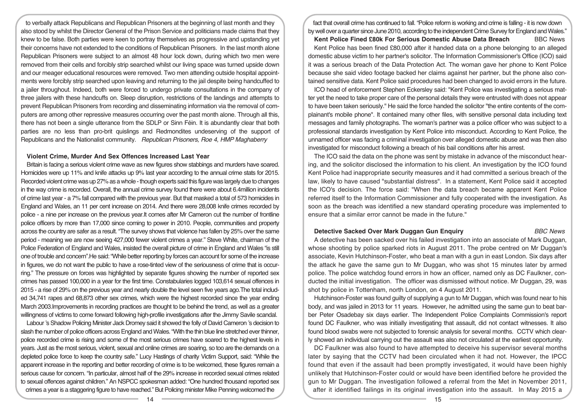to verbally attack Republicans and Republican Prisoners at the beginning of last month and they also stood by whilst the Director General of the Prison Service and politicians made claims that they knew to be false. Both parties were keen to portray themselves as progressive and upstanding yet their concerns have not extended to the conditions of Republican Prisoners. In the last month alone Republican Prisoners were subject to an almost 48 hour lock down, during which two men were removed from their cells and forcibly strip searched whilst our living space was turned upside down and our meager educational resources were removed. Two men attending outside hospital appointments were forcibly strip searched upon leaving and returning to the jail despite being handcuffed to a jailer throughout. Indeed, both were forced to undergo private consultations in the company of three jailers with these handcuffs on. Sleep disruption, restrictions of the landings and attempts to prevent Republican Prisoners from recording and disseminating information via the removal of computers are among other repressive measures occurring over the past month alone. Through all this, there has not been a single utterance from the SDLP or Sinn Féin. It is abundantly clear that both parties are no less than pro-brit quislings and Redmondites undeserving of the support of Republicans and the Nationalist community. *Republican Prisoners, Roe 4, HMP Maghaberry*

### **Violent Crime, Murder And Sex Offences Increased Last Year**

Britain is facing a serious violent crime wave as new figures show stabbings and murders have soared. Homicides were up 11% and knife attacks up 9% last year according to the annual crime stats for 2015. Recorded violent crime was up 27% as a whole - though experts said this figure was largely due to changes in the way crime is recorded. Overall, the annual crime survey found there were about 6.4million incidents of crime last year - a 7% fall compared with the previous year. But that masked a total of 573 homicides in England and Wales, an 11 per cent increase on 2014. And there were 28,008 knife crimes recorded by police - a nine per increase on the previous year.It comes after Mr Cameron cut the number of frontline police officers by more than 17,000 since coming to power in 2010. People, communities and property across the country are safer as a result. "The survey shows that violence has fallen by 25% over the same period - meaning we are now seeing 427,000 fewer violent crimes a year." Steve White, chairman of the Police Federation of England and Wales, insisted the overall picture of crime in England and Wales "is still one of trouble and concern".He said:"While betterreporting by forces can account for some of the increase in figures, we do not want the public to have a rose-tinted view of the seriousness of crime that is occurring." The pressure on forces was highlighted by separate figures showing the number of reported sex crimes has passed 100,000 in a year for the first time. Constabularies logged 103,614 sexual offences in 2015 - a rise of 29% on the previous year and nearly double the level seen five years ago.The total included 34,741 rapes and 68,873 other sex crimes, which were the highest recorded since the year ending March 2003.Improvements in recording practices are thought to be behind the trend, as well as a greater willingness of victims to come forward following high-profile investigations after the Jimmy Savile scandal.

Labour'sShadow Policing Minister Jack Dromey said it showed the folly of David Cameron 's decision to slash the number of police officers acrossEngland andWales."With the thin blue line stretched everthinner, police recorded crime is rising and some of the most serious crimes have soared to the highest levels in years. Just as the most serious, violent, sexual and online crimes are soaring, so too are the demands on a depleted police force to keep the country safe." Lucy Hastings of charity Victim Support, said: "While the apparent increase in the reporting and better recording of crime is to be welcomed, these figures remain a serious cause for concern. "In particular, almost half of the 29% increase in recorded sexual crimes related to sexual offences against children." An NSPCC spokesman added: "One hundred thousand reported sex crimes a year is a staggering figure to have reached." But Policing minister Mike Penning welcomed the

fact that overall crime has continued to fall. "Police reform is working and crime is falling - it is now down by well over a quarter since June 2010, according to the independent Crime Survey for England and Wales." **Kent Police Fined £80k For Serious Domestic Abuse Data Breach** BBC News Kent Police has been fined £80,000 after it handed data on a phone belonging to an alleged domestic abuse victim to her partner's solicitor. The Information Commissioner's Office (ICO) said it was a serious breach of the Data Protection Act. The woman gave her phone to Kent Police because she said video footage backed her claims against her partner, but the phone also contained sensitive data. Kent Police said procedures had been changed to avoid errors in the future.

ICO head of enforcement Stephen Eckersley said: "Kent Police was investigating a serious matter yet the need to take proper care of the personal details they were entrusted with does not appear to have been taken seriously." He said the force handed the solicitor "the entire contents of the complainant's mobile phone". It contained many other files, with sensitive personal data including text messages and family photographs. The woman's partner was a police officer who was subject to a professional standards investigation by Kent Police into misconduct. According to Kent Police, the unnamed officer was facing a criminal investigation over alleged domestic abuse and was then also investigated for misconduct following a breach of his bail conditions after his arrest.

The ICO said the data on the phone was sent by mistake in advance of the misconduct hearing, and the solicitor disclosed the information to his client. An investigation by the ICO found Kent Police had inappropriate security measures and it had committed a serious breach of the law, likely to have caused "substantial distress". In a statement, Kent Police said it accepted the ICO's decision. The force said: "When the data breach became apparent Kent Police referred itself to the Information Commissioner and fully cooperated with the investigation. As soon as the breach was identified a new standard operating procedure was implemented to ensure that a similar error cannot be made in the future."

# **Detective Sacked Over Mark Duggan Gun Enquiry** *BBC News*

A detective has been sacked over his failed investigation into an associate of Mark Duggan, whose shooting by police sparked riots in August 2011. The probe centred on Mr Duggan's associate, Kevin Hutchinson-Foster, who beat a man with a gun in east London. Six days after the attack he gave the same gun to Mr Duggan, who was shot 15 minutes later by armed police. The police watchdog found errors in how an officer, named only as DC Faulkner, conducted the initial investigation. The officer was dismissed without notice. Mr Duggan, 29, was shot by police in Tottenham, north London, on 4 August 2011.

Hutchinson-Foster was found guilty of supplying a gun to Mr Duggan, which was found near to his body, and was jailed in 2013 for 11 years. However, he admitted using the same gun to beat barber Peter Osadebay six days earlier. The Independent Police Complaints Commission's report found DC Faulkner, who was initially investigating that assault, did not contact witnesses. It also found blood swabs were not subjected to forensic analysis for several months. CCTV which clearly showed an individual carrying out the assault was also not circulated at the earliest opportunity.

DC Faulkner was also found to have attempted to deceive his supervisor several months later by saying that the CCTV had been circulated when it had not. However, the IPCC found that even if the assault had been promptly investigated, it would have been highly unlikely that Hutchinson-Foster could or would have been identified before he provided the gun to Mr Duggan. The investigation followed a referral from the Met in November 2011, after it identified failings in its original investigation into the assault. In May 2015 a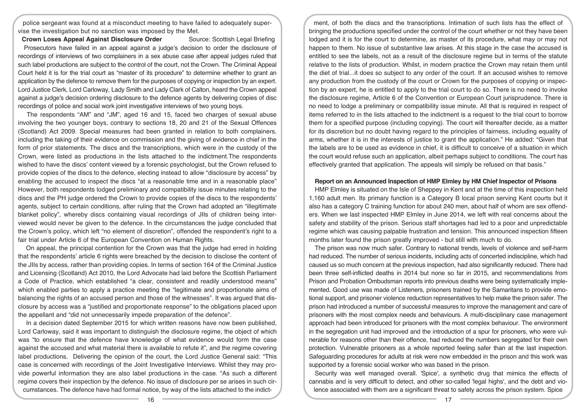police sergeant was found at a misconduct meeting to have failed to adequately supervise the investigation but no sanction was imposed by the Met.

**Crown Loses Appeal Against Disclosure Order Source: Scottish Legal Briefing** Prosecutors have failed in an appeal against a judge's decision to order the disclosure of recordings of interviews of two complainers in a sex abuse case after appeal judges ruled that such label productions are subject to the control of the court, not the Crown. The Criminal Appeal Court held it is for the trial court as "master of its procedure" to determine whether to grant an application by the defence to remove them for the purposes of copying or inspection by an expert. Lord Justice Clerk, Lord Carloway, Lady Smith and Lady Clark of Calton, heard the Crown appeal against a judge's decision ordering disclosure to the defence agents by delivering copies of disc recordings of police and social work joint investigative interviews of two young boys.

The respondents "AM" and "JM", aged 16 and 15, faced two charges of sexual abuse involving the two younger boys, contrary to sections 18, 20 and 21 of the Sexual Offences (Scotland) Act 2009. Special measures had been granted in relation to both complainers, including the taking of their evidence on commission and the giving of evidence in chief in the form of prior statements. The discs and the transcriptions, which were in the custody of the Crown, were listed as productions in the lists attached to the indictment.The respondents wished to have the discs' content viewed by a forensic psychologist, but the Crown refused to provide copies of the discs to the defence, electing instead to allow "disclosure by access" by enabling the accused to inspect the discs "at a reasonable time and in a reasonable place" However, both respondents lodged preliminary and compatibility issue minutes relating to the discs and the PH judge ordered the Crown to provide copies of the discs to the respondents' agents, subject to certain conditions, after ruling that the Crown had adopted an "illegitimate blanket policy", whereby discs containing visual recordings of JIIs of children being interviewed would never be given to the defence. In the circumstances the judge concluded that the Crown's policy, which left "no element of discretion", offended the respondent's right to a fair trial under Article 6 of the European Convention on Human Rights.

On appeal, the principal contention for the Crown was that the judge had erred in holding that the respondents' article 6 rights were breached by the decision to disclose the content of the JIIs by access, rather than providing copies. In terms of section 164 of the Criminal Justice and Licensing (Scotland) Act 2010, the Lord Advocate had laid before the Scottish Parliament a Code of Practice, which established "a clear, consistent and readily understood means" which enabled parties to apply a practice meeting the "legitimate and proportionate aims of balancing the rights of an accused person and those of the witnesses". It was argued that disclosure by access was a "justified and proportionate response" to the obligations placed upon the appellant and "did not unnecessarily impede preparation of the defence".

In a decision dated September 2015 for which written reasons have now been published, Lord Carloway, said it was important to distinguish the disclosure regime, the object of which was "to ensure that the defence have knowledge of what evidence would form the case against the accused and what material there is available to refute it", and the regime covering label productions. Delivering the opinion of the court, the Lord Justice General said: "This case is concerned with recordings of the Joint Investigative Interviews. Whilst they may provide powerful information they are also label productions in the case. "As such a different regime covers their inspection by the defence. No issue of disclosure per se arises in such circumstances. The defence have had formal notice, by way of the lists attached to the indict-

ment, of both the discs and the transcriptions. Intimation of such lists has the effect of bringing the productions specified under the control of the court whether or not they have been lodged and it is for the court to determine, as master of its procedure, what may or may not happen to them. No issue of substantive law arises. At this stage in the case the accused is entitled to see the labels, not as a result of the disclosure regime but in terms of the statute relative to the lists of production. Whilst, in modern practice the Crown may retain them until the diet of trial...it does so subject to any order of the court. If an accused wishes to remove any production from the custody of the court or Crown for the purposes of copying or inspection by an expert, he is entitled to apply to the trial court to do so. There is no need to invoke the disclosure regime, Article 6 of the Convention or European Court jurisprudence. There is no need to lodge a preliminary or compatibility issue minute. All that is required in respect of items referred to in the lists attached to the indictment is a request to the trial court to borrow them for a specified purpose (including copying). The court will thereafter decide, as a matter for its discretion but no doubt having regard to the principles of fairness, including equality of arms, whether it is in the interests of justice to grant the application." He added: "Given that the labels are to be used as evidence in chief, it is difficult to conceive of a situation in which the court would refuse such an application, albeit perhaps subject to conditions. The court has effectively granted that application. The appeals will simply be refused on that basis."

## **Report on an Announced Inspection of HMP Elmley by HM Chief Inspector of Prisons**

HMP Elmley is situated on the Isle of Sheppey in Kent and at the time of this inspection held 1,160 adult men. Its primary function is a Category B local prison serving Kent courts but it also has a category C training function for about 240 men, about half of whom are sex offenders. When we last inspected HMP Elmley in June 2014, we left with real concerns about the safety and stability of the prison. Serious staff shortages had led to a poor and unpredictable regime which was causing palpable frustration and tension. This announced inspection fifteen months later found the prison greatly improved - but still with much to do.

The prison was now much safer. Contrary to national trends, levels of violence and self-harm had reduced. The number of serious incidents, including acts of concerted indiscipline, which had caused us so much concern at the previous inspection, had also significantly reduced. There had been three self-inflicted deaths in 2014 but none so far in 2015, and recommendations from Prison and Probation Ombudsman reports into previous deaths were being systematically implemented. Good use was made of Listeners, prisoners trained by the Samaritans to provide emotional support, and prisoner violence reduction representatives to help make the prison safer. The prison had introduced a number of successful measures to improve the management and care of prisoners with the most complex needs and behaviours. A multi-disciplinary case management approach had been introduced for prisoners with the most complex behaviour. The environment in the segregation unit had improved and the introduction of a spur for prisoners, who were vulnerable for reasons other than their offence, had reduced the numbers segregated for their own protection. Vulnerable prisoners as a whole reported feeling safer than at the last inspection. Safeguarding procedures for adults at risk were now embedded in the prison and this work was supported by a forensic social worker who was based in the prison.

Security was well managed overall. 'Spice', a synthetic drug that mimics the effects of cannabis and is very difficult to detect, and other so-called 'legal highs', and the debt and violence associated with them are a significant threat to safety across the prison system. Spice